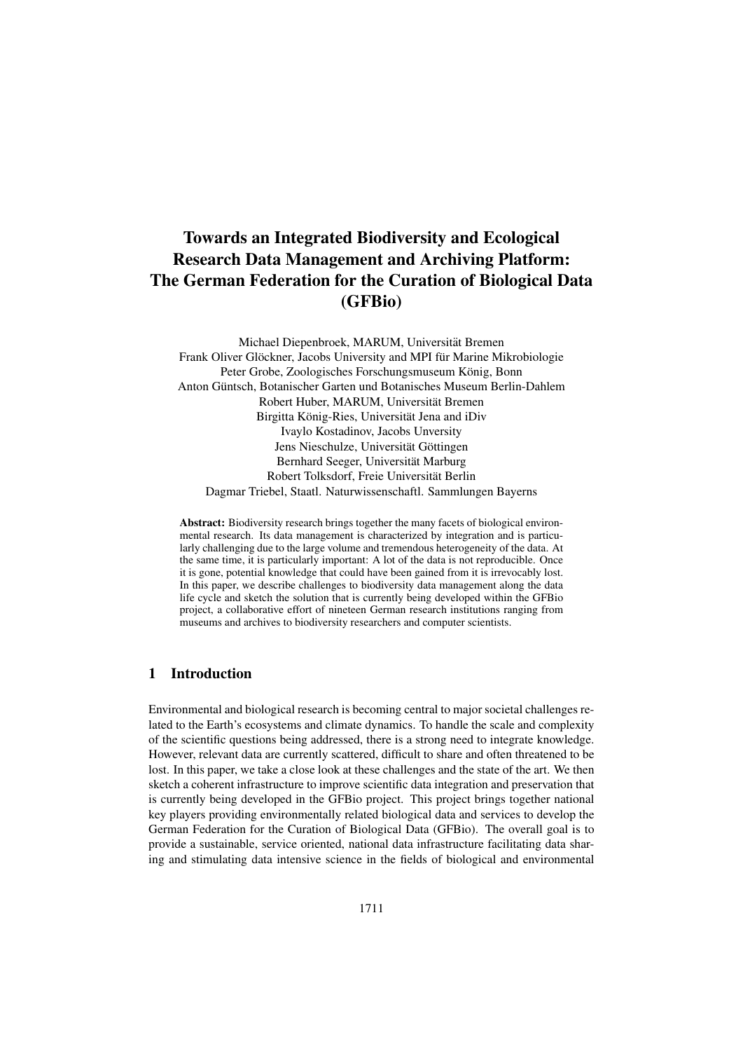# Towards an Integrated Biodiversity and Ecological Research Data Management and Archiving Platform: The German Federation for the Curation of Biological Data (GFBio)

Michael Diepenbroek, MARUM, Universität Bremen Frank Oliver Glöckner, Jacobs University and MPI für Marine Mikrobiologie Peter Grobe, Zoologisches Forschungsmuseum König, Bonn Anton Güntsch, Botanischer Garten und Botanisches Museum Berlin-Dahlem Robert Huber, MARUM, Universitat Bremen ¨ Birgitta König-Ries, Universität Jena and iDiv Ivaylo Kostadinov, Jacobs Unversity Jens Nieschulze, Universität Göttingen Bernhard Seeger, Universität Marburg Robert Tolksdorf, Freie Universitat Berlin ¨ Dagmar Triebel, Staatl. Naturwissenschaftl. Sammlungen Bayerns

Abstract: Biodiversity research brings together the many facets of biological environmental research. Its data management is characterized by integration and is particularly challenging due to the large volume and tremendous heterogeneity of the data. At the same time, it is particularly important: A lot of the data is not reproducible. Once it is gone, potential knowledge that could have been gained from it is irrevocably lost. In this paper, we describe challenges to biodiversity data management along the data life cycle and sketch the solution that is currently being developed within the GFBio project, a collaborative effort of nineteen German research institutions ranging from museums and archives to biodiversity researchers and computer scientists.

### 1 Introduction

Environmental and biological research is becoming central to major societal challenges related to the Earth's ecosystems and climate dynamics. To handle the scale and complexity of the scientific questions being addressed, there is a strong need to integrate knowledge. However, relevant data are currently scattered, difficult to share and often threatened to be lost. In this paper, we take a close look at these challenges and the state of the art. We then sketch a coherent infrastructure to improve scientific data integration and preservation that is currently being developed in the GFBio project. This project brings together national key players providing environmentally related biological data and services to develop the German Federation for the Curation of Biological Data (GFBio). The overall goal is to provide a sustainable, service oriented, national data infrastructure facilitating data sharing and stimulating data intensive science in the fields of biological and environmental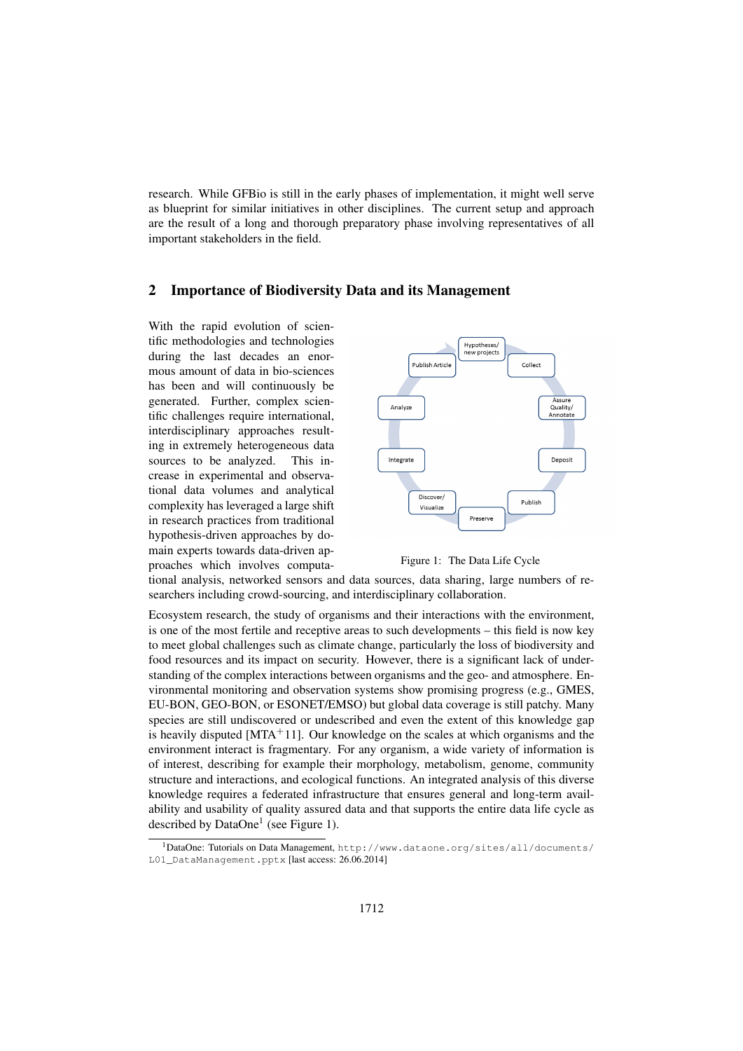research. While GFBio is still in the early phases of implementation, it might well serve as blueprint for similar initiatives in other disciplines. The current setup and approach are the result of a long and thorough preparatory phase involving representatives of all important stakeholders in the field.

### 2 Importance of Biodiversity Data and its Management

With the rapid evolution of scientific methodologies and technologies during the last decades an enormous amount of data in bio-sciences has been and will continuously be generated. Further, complex scientific challenges require international, interdisciplinary approaches resulting in extremely heterogeneous data sources to be analyzed. This increase in experimental and observational data volumes and analytical complexity has leveraged a large shift in research practices from traditional hypothesis-driven approaches by domain experts towards data-driven approaches which involves computa-





tional analysis, networked sensors and data sources, data sharing, large numbers of researchers including crowd-sourcing, and interdisciplinary collaboration.

Ecosystem research, the study of organisms and their interactions with the environment, is one of the most fertile and receptive areas to such developments – this field is now key to meet global challenges such as climate change, particularly the loss of biodiversity and food resources and its impact on security. However, there is a significant lack of understanding of the complex interactions between organisms and the geo- and atmosphere. Environmental monitoring and observation systems show promising progress (e.g., GMES, EU-BON, GEO-BON, or ESONET/EMSO) but global data coverage is still patchy. Many species are still undiscovered or undescribed and even the extent of this knowledge gap is heavily disputed  $[MTA+11]$ . Our knowledge on the scales at which organisms and the environment interact is fragmentary. For any organism, a wide variety of information is of interest, describing for example their morphology, metabolism, genome, community structure and interactions, and ecological functions. An integrated analysis of this diverse knowledge requires a federated infrastructure that ensures general and long-term availability and usability of quality assured data and that supports the entire data life cycle as described by DataOne<sup>1</sup> (see Figure 1).

<sup>1</sup>DataOne: Tutorials on Data Management, http://www.dataone.org/sites/all/documents/ L01 DataManagement.pptx [last access: 26.06.2014]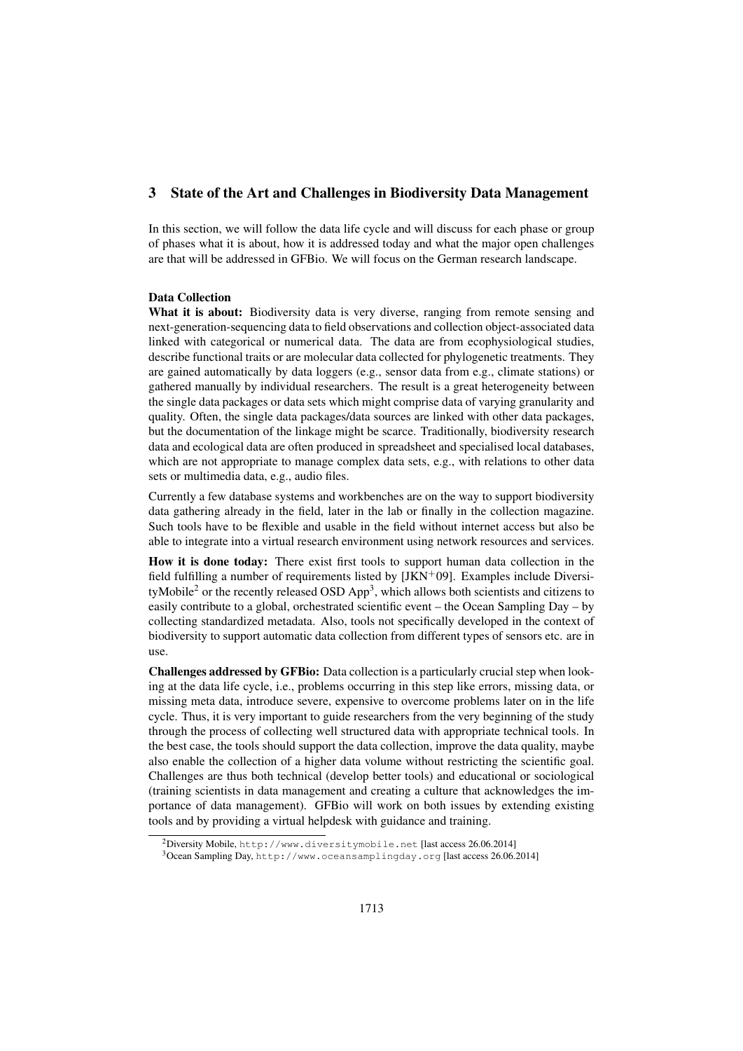# 3 State of the Art and Challenges in Biodiversity Data Management

In this section, we will follow the data life cycle and will discuss for each phase or group of phases what it is about, how it is addressed today and what the major open challenges are that will be addressed in GFBio. We will focus on the German research landscape.

#### Data Collection

What it is about: Biodiversity data is very diverse, ranging from remote sensing and next-generation-sequencing data to field observations and collection object-associated data linked with categorical or numerical data. The data are from ecophysiological studies, describe functional traits or are molecular data collected for phylogenetic treatments. They are gained automatically by data loggers (e.g., sensor data from e.g., climate stations) or gathered manually by individual researchers. The result is a great heterogeneity between the single data packages or data sets which might comprise data of varying granularity and quality. Often, the single data packages/data sources are linked with other data packages, but the documentation of the linkage might be scarce. Traditionally, biodiversity research data and ecological data are often produced in spreadsheet and specialised local databases, which are not appropriate to manage complex data sets, e.g., with relations to other data sets or multimedia data, e.g., audio files.

Currently a few database systems and workbenches are on the way to support biodiversity data gathering already in the field, later in the lab or finally in the collection magazine. Such tools have to be flexible and usable in the field without internet access but also be able to integrate into a virtual research environment using network resources and services.

How it is done today: There exist first tools to support human data collection in the field fulfilling a number of requirements listed by  $[JKN<sup>+</sup>09]$ . Examples include DiversityMobile<sup>2</sup> or the recently released OSD App<sup>3</sup>, which allows both scientists and citizens to easily contribute to a global, orchestrated scientific event – the Ocean Sampling Day – by collecting standardized metadata. Also, tools not specifically developed in the context of biodiversity to support automatic data collection from different types of sensors etc. are in use.

Challenges addressed by GFBio: Data collection is a particularly crucial step when looking at the data life cycle, i.e., problems occurring in this step like errors, missing data, or missing meta data, introduce severe, expensive to overcome problems later on in the life cycle. Thus, it is very important to guide researchers from the very beginning of the study through the process of collecting well structured data with appropriate technical tools. In the best case, the tools should support the data collection, improve the data quality, maybe also enable the collection of a higher data volume without restricting the scientific goal. Challenges are thus both technical (develop better tools) and educational or sociological (training scientists in data management and creating a culture that acknowledges the importance of data management). GFBio will work on both issues by extending existing tools and by providing a virtual helpdesk with guidance and training.

<sup>2</sup>Diversity Mobile, http://www.diversitymobile.net [last access 26.06.2014]

<sup>3</sup>Ocean Sampling Day, http://www.oceansamplingday.org [last access 26.06.2014]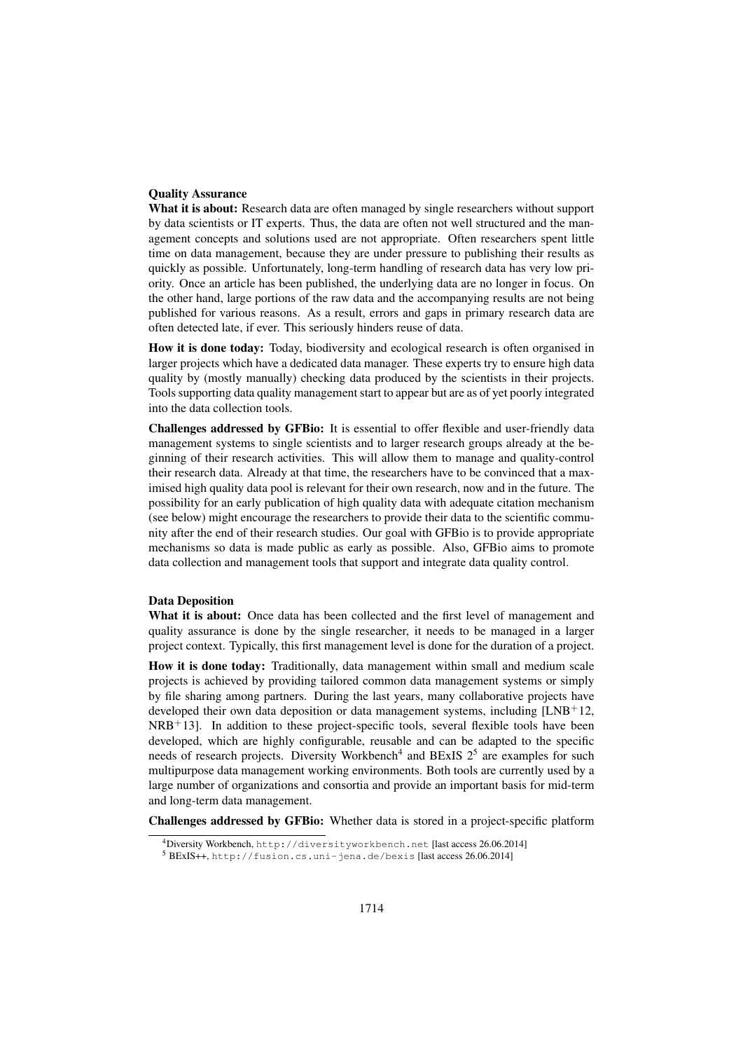#### Quality Assurance

What it is about: Research data are often managed by single researchers without support by data scientists or IT experts. Thus, the data are often not well structured and the management concepts and solutions used are not appropriate. Often researchers spent little time on data management, because they are under pressure to publishing their results as quickly as possible. Unfortunately, long-term handling of research data has very low priority. Once an article has been published, the underlying data are no longer in focus. On the other hand, large portions of the raw data and the accompanying results are not being published for various reasons. As a result, errors and gaps in primary research data are often detected late, if ever. This seriously hinders reuse of data.

How it is done today: Today, biodiversity and ecological research is often organised in larger projects which have a dedicated data manager. These experts try to ensure high data quality by (mostly manually) checking data produced by the scientists in their projects. Tools supporting data quality management start to appear but are as of yet poorly integrated into the data collection tools.

Challenges addressed by GFBio: It is essential to offer flexible and user-friendly data management systems to single scientists and to larger research groups already at the beginning of their research activities. This will allow them to manage and quality-control their research data. Already at that time, the researchers have to be convinced that a maximised high quality data pool is relevant for their own research, now and in the future. The possibility for an early publication of high quality data with adequate citation mechanism (see below) might encourage the researchers to provide their data to the scientific community after the end of their research studies. Our goal with GFBio is to provide appropriate mechanisms so data is made public as early as possible. Also, GFBio aims to promote data collection and management tools that support and integrate data quality control.

#### Data Deposition

What it is about: Once data has been collected and the first level of management and quality assurance is done by the single researcher, it needs to be managed in a larger project context. Typically, this first management level is done for the duration of a project.

How it is done today: Traditionally, data management within small and medium scale projects is achieved by providing tailored common data management systems or simply by file sharing among partners. During the last years, many collaborative projects have developed their own data deposition or data management systems, including  $[LNB<sup>+</sup>12$ ,  $NRB<sup>+</sup>13$ . In addition to these project-specific tools, several flexible tools have been developed, which are highly configurable, reusable and can be adapted to the specific needs of research projects. Diversity Workbench<sup>4</sup> and BExIS  $2^5$  are examples for such multipurpose data management working environments. Both tools are currently used by a large number of organizations and consortia and provide an important basis for mid-term and long-term data management.

Challenges addressed by GFBio: Whether data is stored in a project-specific platform

<sup>4</sup>Diversity Workbench, http://diversityworkbench.net [last access 26.06.2014]

<sup>5</sup> BExIS++, http://fusion.cs.uni-jena.de/bexis [last access 26.06.2014]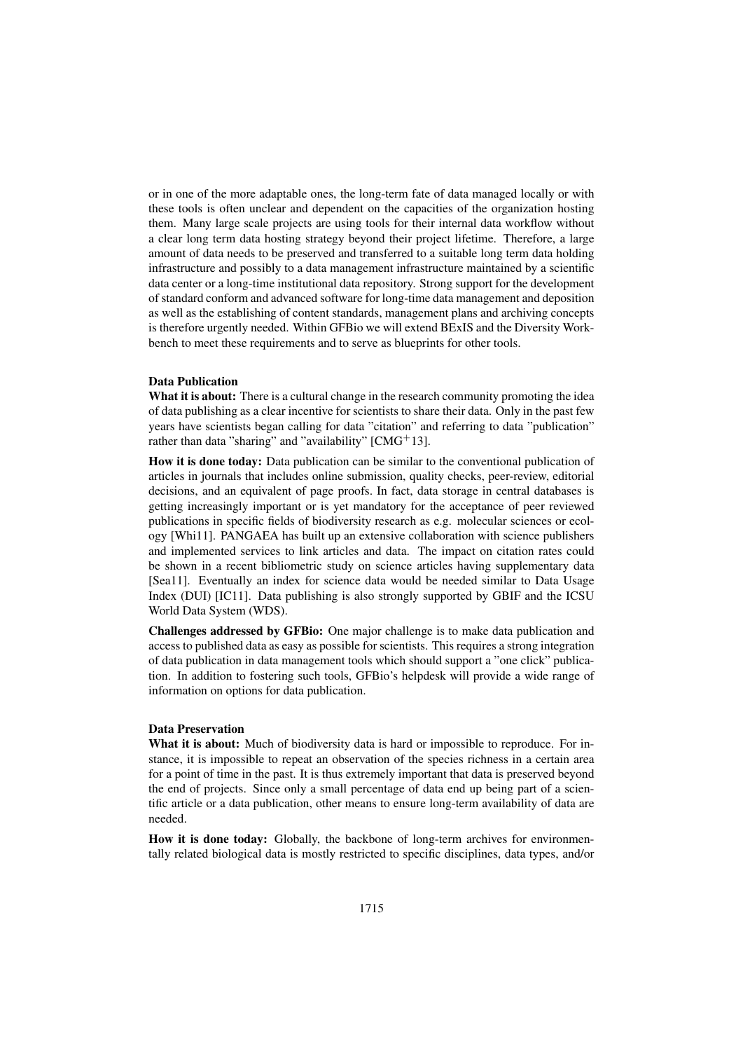or in one of the more adaptable ones, the long-term fate of data managed locally or with these tools is often unclear and dependent on the capacities of the organization hosting them. Many large scale projects are using tools for their internal data workflow without a clear long term data hosting strategy beyond their project lifetime. Therefore, a large amount of data needs to be preserved and transferred to a suitable long term data holding infrastructure and possibly to a data management infrastructure maintained by a scientific data center or a long-time institutional data repository. Strong support for the development of standard conform and advanced software for long-time data management and deposition as well as the establishing of content standards, management plans and archiving concepts is therefore urgently needed. Within GFBio we will extend BExIS and the Diversity Workbench to meet these requirements and to serve as blueprints for other tools.

#### Data Publication

What it is about: There is a cultural change in the research community promoting the idea of data publishing as a clear incentive for scientists to share their data. Only in the past few years have scientists began calling for data "citation" and referring to data "publication" rather than data "sharing" and "availability"  $[CMG<sup>+</sup>13]$ .

How it is done today: Data publication can be similar to the conventional publication of articles in journals that includes online submission, quality checks, peer-review, editorial decisions, and an equivalent of page proofs. In fact, data storage in central databases is getting increasingly important or is yet mandatory for the acceptance of peer reviewed publications in specific fields of biodiversity research as e.g. molecular sciences or ecology [Whi11]. PANGAEA has built up an extensive collaboration with science publishers and implemented services to link articles and data. The impact on citation rates could be shown in a recent bibliometric study on science articles having supplementary data [Sea11]. Eventually an index for science data would be needed similar to Data Usage Index (DUI) [IC11]. Data publishing is also strongly supported by GBIF and the ICSU World Data System (WDS).

Challenges addressed by GFBio: One major challenge is to make data publication and access to published data as easy as possible for scientists. This requires a strong integration of data publication in data management tools which should support a "one click" publication. In addition to fostering such tools, GFBio's helpdesk will provide a wide range of information on options for data publication.

#### Data Preservation

What it is about: Much of biodiversity data is hard or impossible to reproduce. For instance, it is impossible to repeat an observation of the species richness in a certain area for a point of time in the past. It is thus extremely important that data is preserved beyond the end of projects. Since only a small percentage of data end up being part of a scientific article or a data publication, other means to ensure long-term availability of data are needed.

How it is done today: Globally, the backbone of long-term archives for environmentally related biological data is mostly restricted to specific disciplines, data types, and/or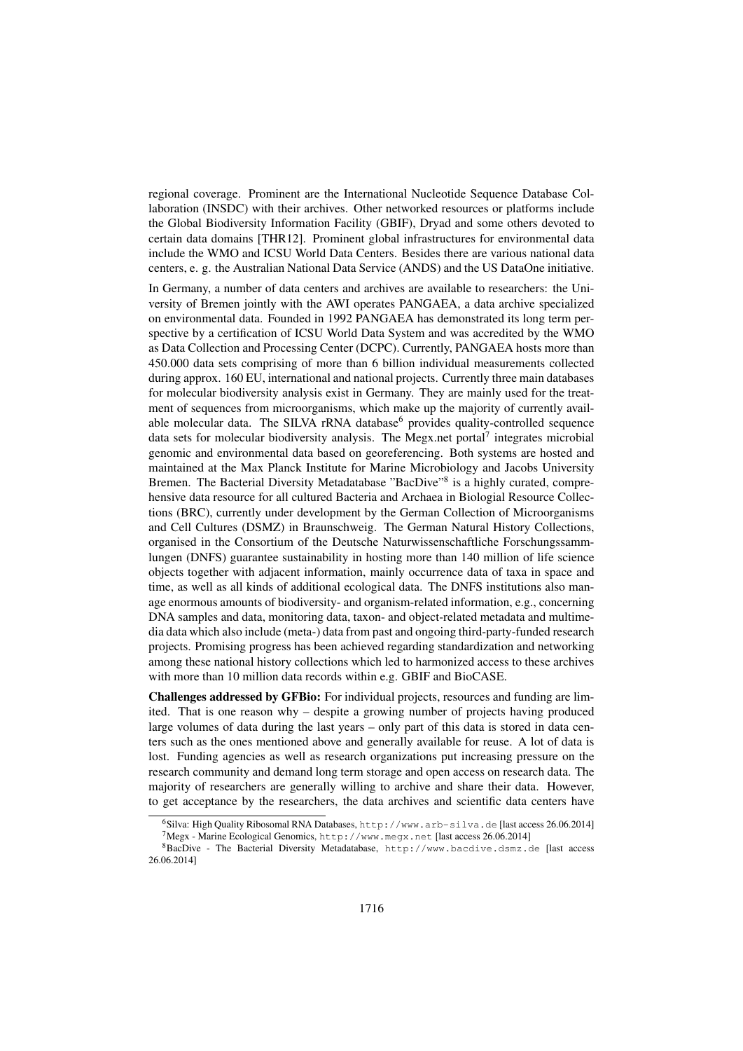regional coverage. Prominent are the International Nucleotide Sequence Database Collaboration (INSDC) with their archives. Other networked resources or platforms include the Global Biodiversity Information Facility (GBIF), Dryad and some others devoted to certain data domains [THR12]. Prominent global infrastructures for environmental data include the WMO and ICSU World Data Centers. Besides there are various national data centers, e. g. the Australian National Data Service (ANDS) and the US DataOne initiative.

In Germany, a number of data centers and archives are available to researchers: the University of Bremen jointly with the AWI operates PANGAEA, a data archive specialized on environmental data. Founded in 1992 PANGAEA has demonstrated its long term perspective by a certification of ICSU World Data System and was accredited by the WMO as Data Collection and Processing Center (DCPC). Currently, PANGAEA hosts more than 450.000 data sets comprising of more than 6 billion individual measurements collected during approx. 160 EU, international and national projects. Currently three main databases for molecular biodiversity analysis exist in Germany. They are mainly used for the treatment of sequences from microorganisms, which make up the majority of currently available molecular data. The SILVA rRNA database<sup>6</sup> provides quality-controlled sequence data sets for molecular biodiversity analysis. The Megx.net portal<sup>7</sup> integrates microbial genomic and environmental data based on georeferencing. Both systems are hosted and maintained at the Max Planck Institute for Marine Microbiology and Jacobs University Bremen. The Bacterial Diversity Metadatabase "BacDive"<sup>8</sup> is a highly curated, comprehensive data resource for all cultured Bacteria and Archaea in Biologial Resource Collections (BRC), currently under development by the German Collection of Microorganisms and Cell Cultures (DSMZ) in Braunschweig. The German Natural History Collections, organised in the Consortium of the Deutsche Naturwissenschaftliche Forschungssammlungen (DNFS) guarantee sustainability in hosting more than 140 million of life science objects together with adjacent information, mainly occurrence data of taxa in space and time, as well as all kinds of additional ecological data. The DNFS institutions also manage enormous amounts of biodiversity- and organism-related information, e.g., concerning DNA samples and data, monitoring data, taxon- and object-related metadata and multimedia data which also include (meta-) data from past and ongoing third-party-funded research projects. Promising progress has been achieved regarding standardization and networking among these national history collections which led to harmonized access to these archives with more than 10 million data records within e.g. GBIF and BioCASE.

Challenges addressed by GFBio: For individual projects, resources and funding are limited. That is one reason why – despite a growing number of projects having produced large volumes of data during the last years – only part of this data is stored in data centers such as the ones mentioned above and generally available for reuse. A lot of data is lost. Funding agencies as well as research organizations put increasing pressure on the research community and demand long term storage and open access on research data. The majority of researchers are generally willing to archive and share their data. However, to get acceptance by the researchers, the data archives and scientific data centers have

<sup>6</sup>Silva: High Quality Ribosomal RNA Databases, http://www.arb-silva.de [last access 26.06.2014]  $^{7}$ Megx - Marine Ecological Genomics, http://www.megx.net [last access 26.06.2014]

<sup>8</sup>BacDive - The Bacterial Diversity Metadatabase, http://www.bacdive.dsmz.de [last access 26.06.2014]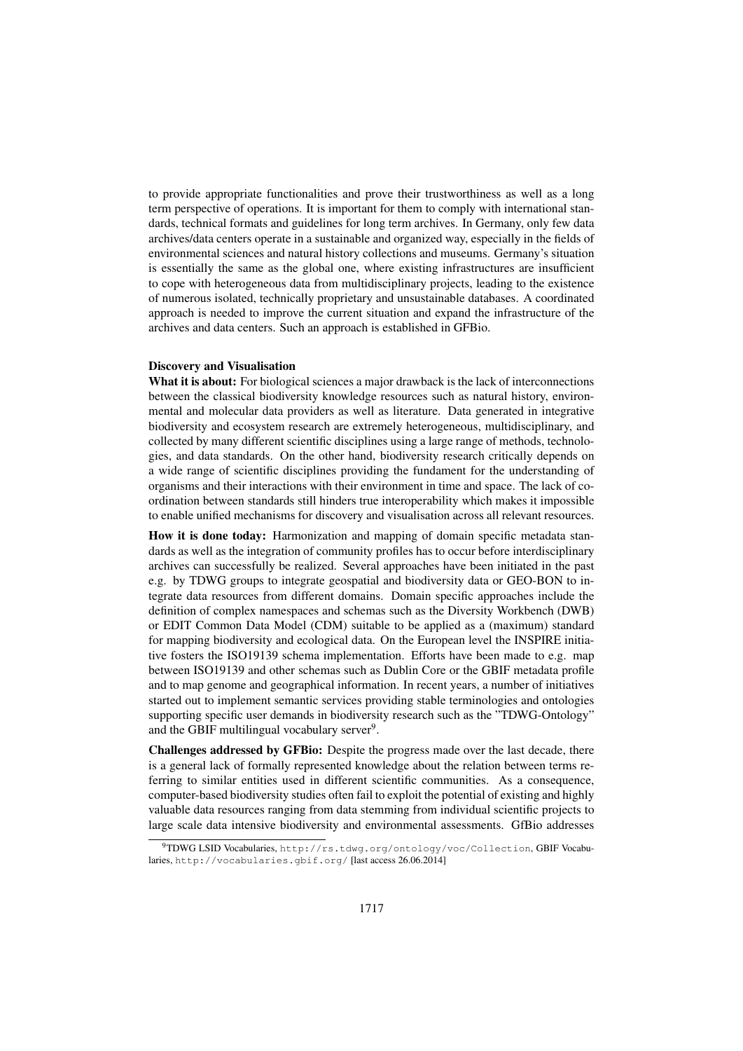to provide appropriate functionalities and prove their trustworthiness as well as a long term perspective of operations. It is important for them to comply with international standards, technical formats and guidelines for long term archives. In Germany, only few data archives/data centers operate in a sustainable and organized way, especially in the fields of environmental sciences and natural history collections and museums. Germany's situation is essentially the same as the global one, where existing infrastructures are insufficient to cope with heterogeneous data from multidisciplinary projects, leading to the existence of numerous isolated, technically proprietary and unsustainable databases. A coordinated approach is needed to improve the current situation and expand the infrastructure of the archives and data centers. Such an approach is established in GFBio.

#### Discovery and Visualisation

What it is about: For biological sciences a major drawback is the lack of interconnections between the classical biodiversity knowledge resources such as natural history, environmental and molecular data providers as well as literature. Data generated in integrative biodiversity and ecosystem research are extremely heterogeneous, multidisciplinary, and collected by many different scientific disciplines using a large range of methods, technologies, and data standards. On the other hand, biodiversity research critically depends on a wide range of scientific disciplines providing the fundament for the understanding of organisms and their interactions with their environment in time and space. The lack of coordination between standards still hinders true interoperability which makes it impossible to enable unified mechanisms for discovery and visualisation across all relevant resources.

How it is done today: Harmonization and mapping of domain specific metadata standards as well as the integration of community profiles has to occur before interdisciplinary archives can successfully be realized. Several approaches have been initiated in the past e.g. by TDWG groups to integrate geospatial and biodiversity data or GEO-BON to integrate data resources from different domains. Domain specific approaches include the definition of complex namespaces and schemas such as the Diversity Workbench (DWB) or EDIT Common Data Model (CDM) suitable to be applied as a (maximum) standard for mapping biodiversity and ecological data. On the European level the INSPIRE initiative fosters the ISO19139 schema implementation. Efforts have been made to e.g. map between ISO19139 and other schemas such as Dublin Core or the GBIF metadata profile and to map genome and geographical information. In recent years, a number of initiatives started out to implement semantic services providing stable terminologies and ontologies supporting specific user demands in biodiversity research such as the "TDWG-Ontology" and the GBIF multilingual vocabulary server<sup>9</sup>.

Challenges addressed by GFBio: Despite the progress made over the last decade, there is a general lack of formally represented knowledge about the relation between terms referring to similar entities used in different scientific communities. As a consequence, computer-based biodiversity studies often fail to exploit the potential of existing and highly valuable data resources ranging from data stemming from individual scientific projects to large scale data intensive biodiversity and environmental assessments. GfBio addresses

<sup>9</sup>TDWG LSID Vocabularies, http://rs.tdwg.org/ontology/voc/Collection, GBIF Vocabularies, http://vocabularies.gbif.org/ [last access 26.06.2014]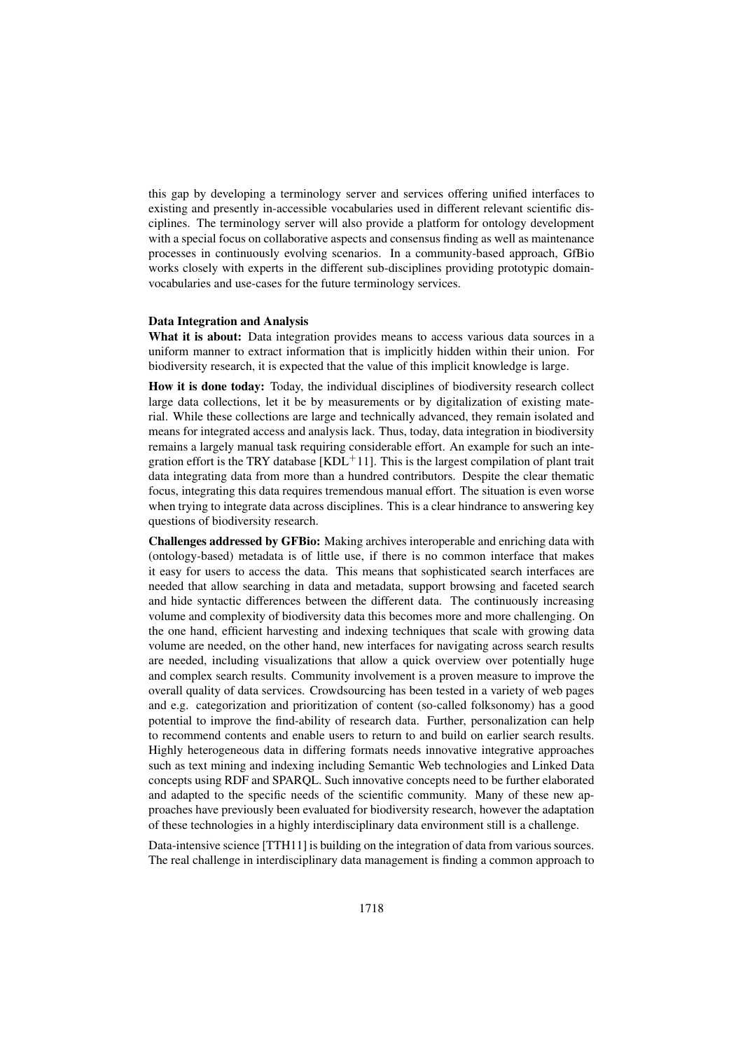this gap by developing a terminology server and services offering unified interfaces to existing and presently in-accessible vocabularies used in different relevant scientific disciplines. The terminology server will also provide a platform for ontology development with a special focus on collaborative aspects and consensus finding as well as maintenance processes in continuously evolving scenarios. In a community-based approach, GfBio works closely with experts in the different sub-disciplines providing prototypic domainvocabularies and use-cases for the future terminology services.

#### Data Integration and Analysis

What it is about: Data integration provides means to access various data sources in a uniform manner to extract information that is implicitly hidden within their union. For biodiversity research, it is expected that the value of this implicit knowledge is large.

How it is done today: Today, the individual disciplines of biodiversity research collect large data collections, let it be by measurements or by digitalization of existing material. While these collections are large and technically advanced, they remain isolated and means for integrated access and analysis lack. Thus, today, data integration in biodiversity remains a largely manual task requiring considerable effort. An example for such an integration effort is the TRY database  $[KDL<sup>+</sup>11]$ . This is the largest compilation of plant trait data integrating data from more than a hundred contributors. Despite the clear thematic focus, integrating this data requires tremendous manual effort. The situation is even worse when trying to integrate data across disciplines. This is a clear hindrance to answering key questions of biodiversity research.

Challenges addressed by GFBio: Making archives interoperable and enriching data with (ontology-based) metadata is of little use, if there is no common interface that makes it easy for users to access the data. This means that sophisticated search interfaces are needed that allow searching in data and metadata, support browsing and faceted search and hide syntactic differences between the different data. The continuously increasing volume and complexity of biodiversity data this becomes more and more challenging. On the one hand, efficient harvesting and indexing techniques that scale with growing data volume are needed, on the other hand, new interfaces for navigating across search results are needed, including visualizations that allow a quick overview over potentially huge and complex search results. Community involvement is a proven measure to improve the overall quality of data services. Crowdsourcing has been tested in a variety of web pages and e.g. categorization and prioritization of content (so-called folksonomy) has a good potential to improve the find-ability of research data. Further, personalization can help to recommend contents and enable users to return to and build on earlier search results. Highly heterogeneous data in differing formats needs innovative integrative approaches such as text mining and indexing including Semantic Web technologies and Linked Data concepts using RDF and SPARQL. Such innovative concepts need to be further elaborated and adapted to the specific needs of the scientific community. Many of these new approaches have previously been evaluated for biodiversity research, however the adaptation of these technologies in a highly interdisciplinary data environment still is a challenge.

Data-intensive science [TTH11] is building on the integration of data from various sources. The real challenge in interdisciplinary data management is finding a common approach to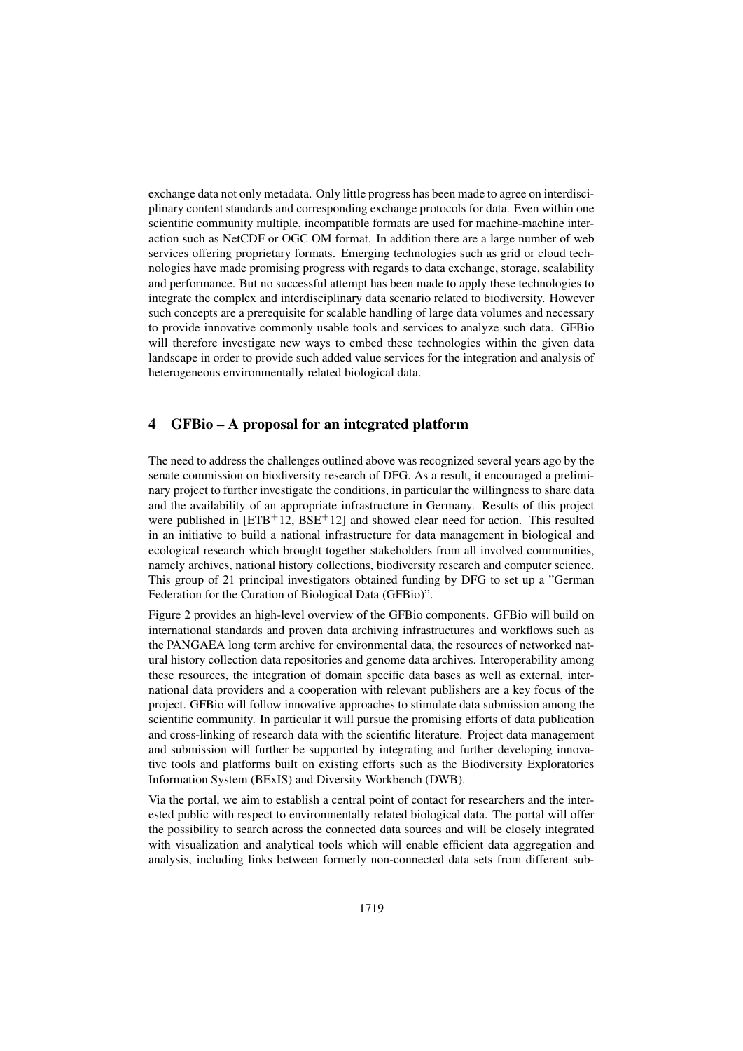exchange data not only metadata. Only little progress has been made to agree on interdisciplinary content standards and corresponding exchange protocols for data. Even within one scientific community multiple, incompatible formats are used for machine-machine interaction such as NetCDF or OGC OM format. In addition there are a large number of web services offering proprietary formats. Emerging technologies such as grid or cloud technologies have made promising progress with regards to data exchange, storage, scalability and performance. But no successful attempt has been made to apply these technologies to integrate the complex and interdisciplinary data scenario related to biodiversity. However such concepts are a prerequisite for scalable handling of large data volumes and necessary to provide innovative commonly usable tools and services to analyze such data. GFBio will therefore investigate new ways to embed these technologies within the given data landscape in order to provide such added value services for the integration and analysis of heterogeneous environmentally related biological data.

# 4 GFBio – A proposal for an integrated platform

The need to address the challenges outlined above was recognized several years ago by the senate commission on biodiversity research of DFG. As a result, it encouraged a preliminary project to further investigate the conditions, in particular the willingness to share data and the availability of an appropriate infrastructure in Germany. Results of this project were published in  $[ETB+12, BSE+12]$  and showed clear need for action. This resulted in an initiative to build a national infrastructure for data management in biological and ecological research which brought together stakeholders from all involved communities, namely archives, national history collections, biodiversity research and computer science. This group of 21 principal investigators obtained funding by DFG to set up a "German Federation for the Curation of Biological Data (GFBio)".

Figure 2 provides an high-level overview of the GFBio components. GFBio will build on international standards and proven data archiving infrastructures and workflows such as the PANGAEA long term archive for environmental data, the resources of networked natural history collection data repositories and genome data archives. Interoperability among these resources, the integration of domain specific data bases as well as external, international data providers and a cooperation with relevant publishers are a key focus of the project. GFBio will follow innovative approaches to stimulate data submission among the scientific community. In particular it will pursue the promising efforts of data publication and cross-linking of research data with the scientific literature. Project data management and submission will further be supported by integrating and further developing innovative tools and platforms built on existing efforts such as the Biodiversity Exploratories Information System (BExIS) and Diversity Workbench (DWB).

Via the portal, we aim to establish a central point of contact for researchers and the interested public with respect to environmentally related biological data. The portal will offer the possibility to search across the connected data sources and will be closely integrated with visualization and analytical tools which will enable efficient data aggregation and analysis, including links between formerly non-connected data sets from different sub-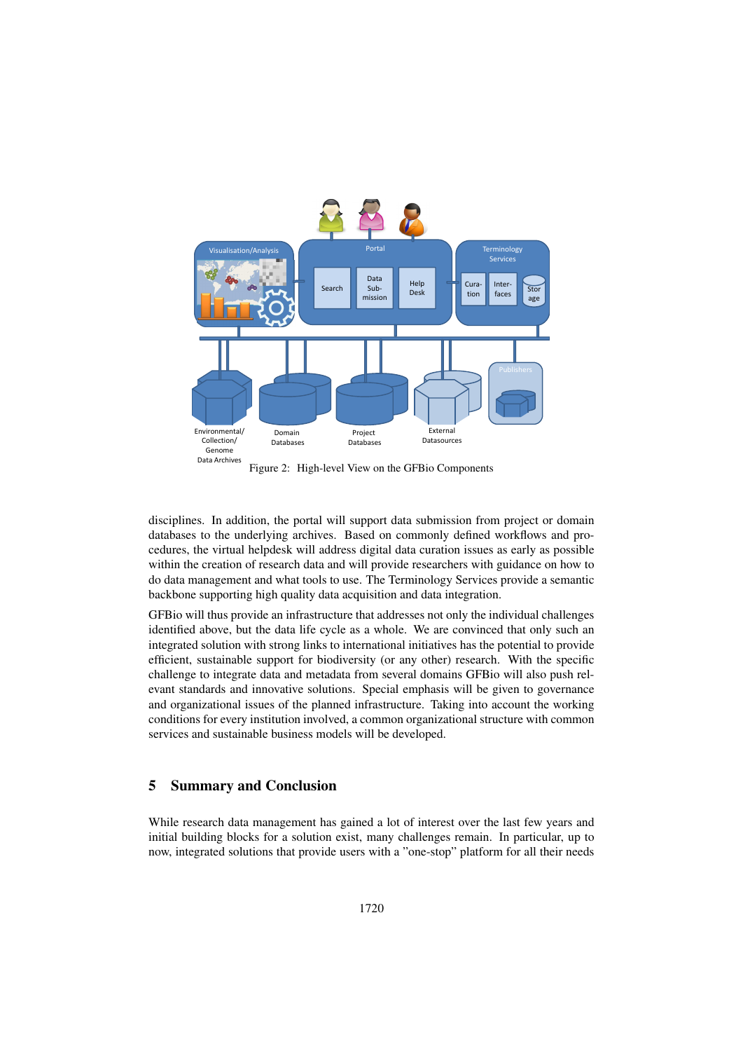

Figure 2: High-level View on the GFBio Components

disciplines. In addition, the portal will support data submission from project or domain databases to the underlying archives. Based on commonly defined workflows and procedures, the virtual helpdesk will address digital data curation issues as early as possible within the creation of research data and will provide researchers with guidance on how to do data management and what tools to use. The Terminology Services provide a semantic backbone supporting high quality data acquisition and data integration.

GFBio will thus provide an infrastructure that addresses not only the individual challenges identified above, but the data life cycle as a whole. We are convinced that only such an integrated solution with strong links to international initiatives has the potential to provide efficient, sustainable support for biodiversity (or any other) research. With the specific challenge to integrate data and metadata from several domains GFBio will also push relevant standards and innovative solutions. Special emphasis will be given to governance and organizational issues of the planned infrastructure. Taking into account the working conditions for every institution involved, a common organizational structure with common services and sustainable business models will be developed.

### 5 Summary and Conclusion

While research data management has gained a lot of interest over the last few years and initial building blocks for a solution exist, many challenges remain. In particular, up to now, integrated solutions that provide users with a "one-stop" platform for all their needs